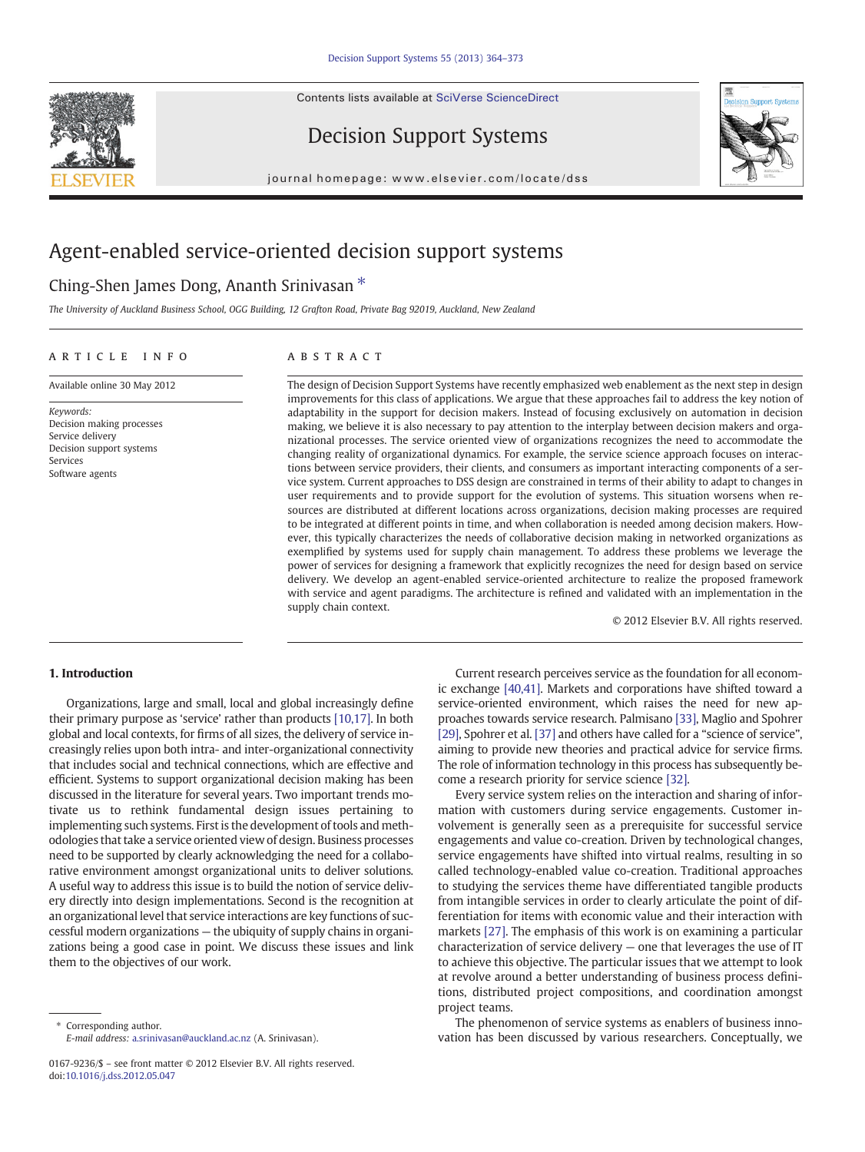Contents lists available at [SciVerse ScienceDirect](http://www.sciencedirect.com/science/journal/01679236)





Decision Support Systems

journal homepage: www.elsevier.com/locate/dss

# Agent-enabled service-oriented decision support systems

## Ching-Shen James Dong, Ananth Srinivasan<sup>\*</sup>

The University of Auckland Business School, OGG Building, 12 Grafton Road, Private Bag 92019, Auckland, New Zealand

### article info abstract

Available online 30 May 2012

Keywords: Decision making processes Service delivery Decision support systems Services Software agents

The design of Decision Support Systems have recently emphasized web enablement as the next step in design improvements for this class of applications. We argue that these approaches fail to address the key notion of adaptability in the support for decision makers. Instead of focusing exclusively on automation in decision making, we believe it is also necessary to pay attention to the interplay between decision makers and organizational processes. The service oriented view of organizations recognizes the need to accommodate the changing reality of organizational dynamics. For example, the service science approach focuses on interactions between service providers, their clients, and consumers as important interacting components of a service system. Current approaches to DSS design are constrained in terms of their ability to adapt to changes in user requirements and to provide support for the evolution of systems. This situation worsens when resources are distributed at different locations across organizations, decision making processes are required to be integrated at different points in time, and when collaboration is needed among decision makers. However, this typically characterizes the needs of collaborative decision making in networked organizations as exemplified by systems used for supply chain management. To address these problems we leverage the power of services for designing a framework that explicitly recognizes the need for design based on service delivery. We develop an agent-enabled service-oriented architecture to realize the proposed framework with service and agent paradigms. The architecture is refined and validated with an implementation in the supply chain context.

© 2012 Elsevier B.V. All rights reserved.

### 1. Introduction

Organizations, large and small, local and global increasingly define their primary purpose as 'service' rather than products [\[10,17\]](#page--1-0). In both global and local contexts, for firms of all sizes, the delivery of service increasingly relies upon both intra- and inter-organizational connectivity that includes social and technical connections, which are effective and efficient. Systems to support organizational decision making has been discussed in the literature for several years. Two important trends motivate us to rethink fundamental design issues pertaining to implementing such systems. First is the development of tools and methodologies that take a service oriented view of design. Business processes need to be supported by clearly acknowledging the need for a collaborative environment amongst organizational units to deliver solutions. A useful way to address this issue is to build the notion of service delivery directly into design implementations. Second is the recognition at an organizational level that service interactions are key functions of successful modern organizations — the ubiquity of supply chains in organizations being a good case in point. We discuss these issues and link them to the objectives of our work.

Current research perceives service as the foundation for all economic exchange [\[40,41\]](#page--1-0). Markets and corporations have shifted toward a service-oriented environment, which raises the need for new approaches towards service research. Palmisano [\[33\],](#page--1-0) Maglio and Spohrer [\[29\]](#page--1-0), Spohrer et al. [\[37\]](#page--1-0) and others have called for a "science of service", aiming to provide new theories and practical advice for service firms. The role of information technology in this process has subsequently become a research priority for service science [\[32\]](#page--1-0).

Every service system relies on the interaction and sharing of information with customers during service engagements. Customer involvement is generally seen as a prerequisite for successful service engagements and value co-creation. Driven by technological changes, service engagements have shifted into virtual realms, resulting in so called technology-enabled value co-creation. Traditional approaches to studying the services theme have differentiated tangible products from intangible services in order to clearly articulate the point of differentiation for items with economic value and their interaction with markets [\[27\]](#page--1-0). The emphasis of this work is on examining a particular characterization of service delivery — one that leverages the use of IT to achieve this objective. The particular issues that we attempt to look at revolve around a better understanding of business process definitions, distributed project compositions, and coordination amongst project teams.

The phenomenon of service systems as enablers of business innovation has been discussed by various researchers. Conceptually, we

<sup>⁎</sup> Corresponding author. E-mail address: [a.srinivasan@auckland.ac.nz](mailto:a.srinivasan@auckland.ac.nz) (A. Srinivasan).

<sup>0167-9236/\$</sup> – see front matter © 2012 Elsevier B.V. All rights reserved. doi[:10.1016/j.dss.2012.05.047](http://dx.doi.org/10.1016/j.dss.2012.05.047)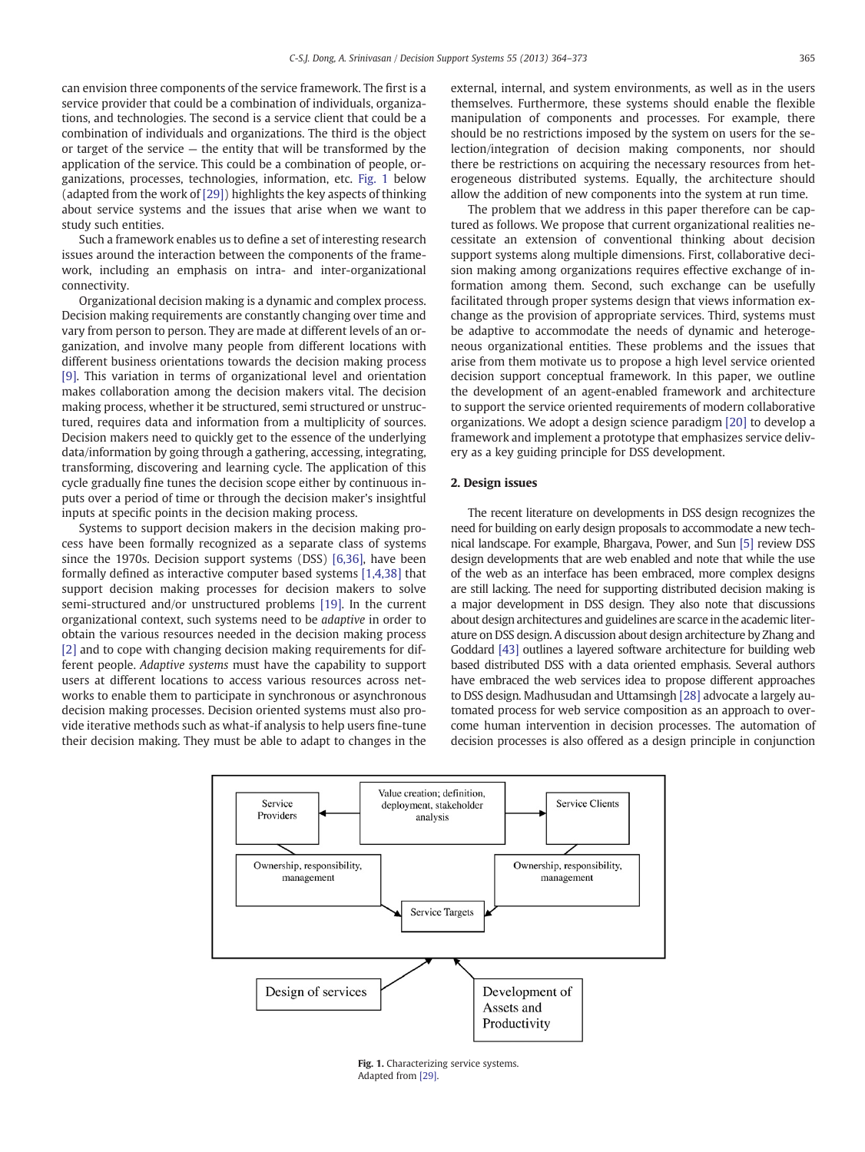can envision three components of the service framework. The first is a service provider that could be a combination of individuals, organizations, and technologies. The second is a service client that could be a combination of individuals and organizations. The third is the object or target of the service — the entity that will be transformed by the application of the service. This could be a combination of people, organizations, processes, technologies, information, etc. Fig. 1 below (adapted from the work of [\[29\]](#page--1-0)) highlights the key aspects of thinking about service systems and the issues that arise when we want to study such entities.

Such a framework enables us to define a set of interesting research issues around the interaction between the components of the framework, including an emphasis on intra- and inter-organizational connectivity.

Organizational decision making is a dynamic and complex process. Decision making requirements are constantly changing over time and vary from person to person. They are made at different levels of an organization, and involve many people from different locations with different business orientations towards the decision making process [\[9\].](#page--1-0) This variation in terms of organizational level and orientation makes collaboration among the decision makers vital. The decision making process, whether it be structured, semi structured or unstructured, requires data and information from a multiplicity of sources. Decision makers need to quickly get to the essence of the underlying data/information by going through a gathering, accessing, integrating, transforming, discovering and learning cycle. The application of this cycle gradually fine tunes the decision scope either by continuous inputs over a period of time or through the decision maker's insightful inputs at specific points in the decision making process.

Systems to support decision makers in the decision making process have been formally recognized as a separate class of systems since the 1970s. Decision support systems (DSS) [\[6,36\]](#page--1-0), have been formally defined as interactive computer based systems [\[1,4,38\]](#page--1-0) that support decision making processes for decision makers to solve semi-structured and/or unstructured problems [\[19\]](#page--1-0). In the current organizational context, such systems need to be adaptive in order to obtain the various resources needed in the decision making process [\[2\]](#page--1-0) and to cope with changing decision making requirements for different people. Adaptive systems must have the capability to support users at different locations to access various resources across networks to enable them to participate in synchronous or asynchronous decision making processes. Decision oriented systems must also provide iterative methods such as what-if analysis to help users fine-tune their decision making. They must be able to adapt to changes in the

external, internal, and system environments, as well as in the users themselves. Furthermore, these systems should enable the flexible manipulation of components and processes. For example, there should be no restrictions imposed by the system on users for the selection/integration of decision making components, nor should there be restrictions on acquiring the necessary resources from heterogeneous distributed systems. Equally, the architecture should allow the addition of new components into the system at run time.

The problem that we address in this paper therefore can be captured as follows. We propose that current organizational realities necessitate an extension of conventional thinking about decision support systems along multiple dimensions. First, collaborative decision making among organizations requires effective exchange of information among them. Second, such exchange can be usefully facilitated through proper systems design that views information exchange as the provision of appropriate services. Third, systems must be adaptive to accommodate the needs of dynamic and heterogeneous organizational entities. These problems and the issues that arise from them motivate us to propose a high level service oriented decision support conceptual framework. In this paper, we outline the development of an agent-enabled framework and architecture to support the service oriented requirements of modern collaborative organizations. We adopt a design science paradigm [\[20\]](#page--1-0) to develop a framework and implement a prototype that emphasizes service delivery as a key guiding principle for DSS development.

### 2. Design issues

The recent literature on developments in DSS design recognizes the need for building on early design proposals to accommodate a new technical landscape. For example, Bhargava, Power, and Sun [\[5\]](#page--1-0) review DSS design developments that are web enabled and note that while the use of the web as an interface has been embraced, more complex designs are still lacking. The need for supporting distributed decision making is a major development in DSS design. They also note that discussions about design architectures and guidelines are scarce in the academic literature on DSS design. A discussion about design architecture by Zhang and Goddard [\[43\]](#page--1-0) outlines a layered software architecture for building web based distributed DSS with a data oriented emphasis. Several authors have embraced the web services idea to propose different approaches to DSS design. Madhusudan and Uttamsingh [\[28\]](#page--1-0) advocate a largely automated process for web service composition as an approach to overcome human intervention in decision processes. The automation of decision processes is also offered as a design principle in conjunction



Fig. 1. Characterizing service systems. Adapted from [\[29\].](#page--1-0)